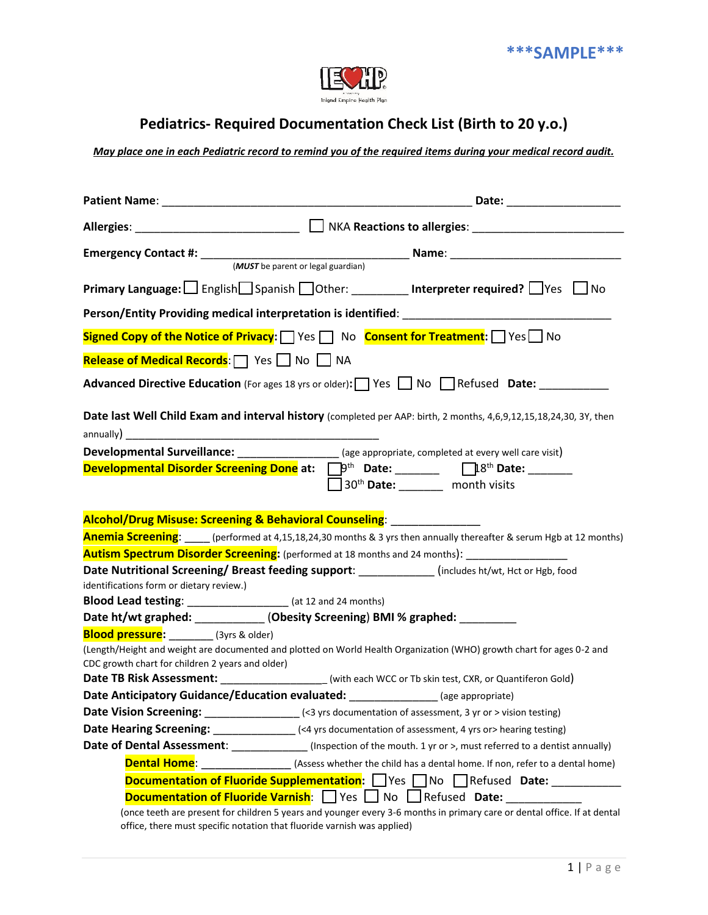

## **Pediatrics- Required Documentation Check List (Birth to 20 y.o.)**

*May place one in each Pediatric record to remind you of the required items during your medical record audit.*

|                                                                                                                                                                                                                             | Allergies: ___________________________ □ NKA Reactions to allergies: ______________________________                      |  |  |
|-----------------------------------------------------------------------------------------------------------------------------------------------------------------------------------------------------------------------------|--------------------------------------------------------------------------------------------------------------------------|--|--|
|                                                                                                                                                                                                                             | Emergency Contact #: $\frac{MUST b$ be parent or legal guardian) Name: $\frac{MUST b}{B}$                                |  |  |
|                                                                                                                                                                                                                             |                                                                                                                          |  |  |
|                                                                                                                                                                                                                             | <b>Primary Language:</b>   English Spanish DOther: ________ Interpreter required? Ves DNo                                |  |  |
|                                                                                                                                                                                                                             |                                                                                                                          |  |  |
| Signed Copy of the Notice of Privacy: Simples State State Consent for Treatment: States No                                                                                                                                  |                                                                                                                          |  |  |
| Release of Medical Records:   Yes No Na                                                                                                                                                                                     |                                                                                                                          |  |  |
| Advanced Directive Education (For ages 18 yrs or older): Ves No Refused Date: _________                                                                                                                                     |                                                                                                                          |  |  |
| Date last Well Child Exam and interval history (completed per AAP: birth, 2 months, 4,6,9,12,15,18,24,30, 3Y, then                                                                                                          |                                                                                                                          |  |  |
|                                                                                                                                                                                                                             |                                                                                                                          |  |  |
|                                                                                                                                                                                                                             | Developmental Surveillance: ____________________ (age appropriate, completed at every well care visit)                   |  |  |
|                                                                                                                                                                                                                             | Developmental Disorder Screening Done at: D <sup>oth</sup> Date: _______ Di <sup>8th</sup> Date: ______                  |  |  |
|                                                                                                                                                                                                                             | $\Box$ 30 <sup>th</sup> Date: _________ month visits                                                                     |  |  |
|                                                                                                                                                                                                                             |                                                                                                                          |  |  |
| Alcohol/Drug Misuse: Screening & Behavioral Counseling: ________________                                                                                                                                                    |                                                                                                                          |  |  |
| Anemia Screening: _____ (performed at 4,15,18,24,30 months & 3 yrs then annually thereafter & serum Hgb at 12 months)                                                                                                       |                                                                                                                          |  |  |
| <b>Autism Spectrum Disorder Screening:</b> (performed at 18 months and 24 months):                                                                                                                                          |                                                                                                                          |  |  |
|                                                                                                                                                                                                                             | Date Nutritional Screening/ Breast feeding support: __________(includes ht/wt, Hct or Hgb, food                          |  |  |
| identifications form or dietary review.)                                                                                                                                                                                    |                                                                                                                          |  |  |
| <b>Blood Lead testing:</b> ____________________ (at 12 and 24 months)                                                                                                                                                       |                                                                                                                          |  |  |
| Date ht/wt graphed: ___________(Obesity Screening) BMI % graphed: ________                                                                                                                                                  |                                                                                                                          |  |  |
| <b>Blood pressure:</b> ________ (3yrs & older)<br>(Length/Height and weight are documented and plotted on World Health Organization (WHO) growth chart for ages 0-2 and<br>CDC growth chart for children 2 years and older) |                                                                                                                          |  |  |
|                                                                                                                                                                                                                             | Date TB Risk Assessment: ____________________(with each WCC or Tb skin test, CXR, or Quantiferon Gold)                   |  |  |
| Date Anticipatory Guidance/Education evaluated: ______________(age appropriate)                                                                                                                                             |                                                                                                                          |  |  |
|                                                                                                                                                                                                                             | Date Vision Screening: ___________________(<3 yrs documentation of assessment, 3 yr or > vision testing)                 |  |  |
|                                                                                                                                                                                                                             | <b>Date Hearing Screening:</b> [<4 yrs documentation of assessment, 4 yrs or> hearing testing)                           |  |  |
|                                                                                                                                                                                                                             | Date of Dental Assessment: (Inspection of the mouth. 1 yr or >, must referred to a dentist annually)                     |  |  |
| <b>Dental Home:</b>                                                                                                                                                                                                         | (Assess whether the child has a dental home. If non, refer to a dental home)                                             |  |  |
|                                                                                                                                                                                                                             | Documentation of Fluoride Supplementation: Ves No Refused Date: __________                                               |  |  |
| <b>Documentation of Fluoride Varnish:</b> Yes I No I<br>$\Box$ Refused <b>Date:</b>                                                                                                                                         |                                                                                                                          |  |  |
| office, there must specific notation that fluoride varnish was applied)                                                                                                                                                     | (once teeth are present for children 5 years and younger every 3-6 months in primary care or dental office. If at dental |  |  |